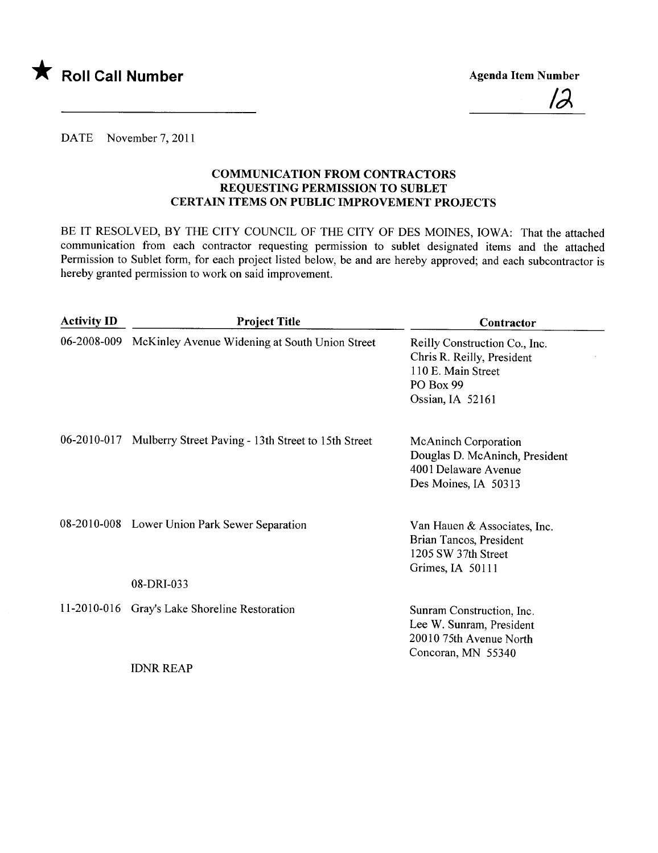



DATE November 7, 2011

### COMMUNICATION FROM CONTRACTORS REQUESTING PERMISSION TO SUBLET CERTAIN ITEMS ON PUBLIC IMPROVEMENT PROJECTS

BE IT RESOLVED, BY THE CITY COUNCIL OF THE CITY OF DES MOINES, IOWA: That the attached communication from each contractor requesting permission to sublet designated items and the attached Permission to Sublet form, for each project listed below, be and are hereby approved; and each subcontractor is hereby granted permission to work on said improvement.

| <b>Activity ID</b> | <b>Project Title</b>                                        | Contractor                                                                                                         |
|--------------------|-------------------------------------------------------------|--------------------------------------------------------------------------------------------------------------------|
|                    | 06-2008-009 McKinley Avenue Widening at South Union Street  | Reilly Construction Co., Inc.<br>Chris R. Reilly, President<br>110 E. Main Street<br>PO Box 99<br>Ossian, IA 52161 |
| 06-2010-017        | Mulberry Street Paving - 13th Street to 15th Street         | <b>McAninch Corporation</b><br>Douglas D. McAninch, President<br>4001 Delaware Avenue<br>Des Moines, IA 50313      |
|                    | 08-2010-008 Lower Union Park Sewer Separation<br>08-DRI-033 | Van Hauen & Associates, Inc.<br>Brian Tancos, President<br>1205 SW 37th Street<br>Grimes, IA 50111                 |
|                    | 11-2010-016 Gray's Lake Shoreline Restoration               | Sunram Construction, Inc.<br>Lee W. Sunram, President<br>20010 75th Avenue North<br>Concoran, MN 55340             |
|                    | <b>IDNR REAP</b>                                            |                                                                                                                    |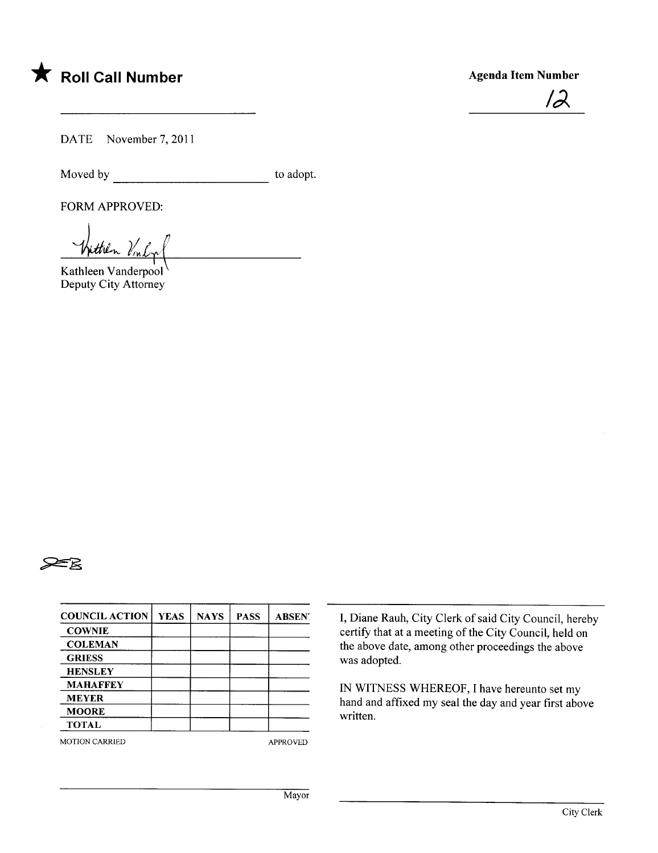

### Agenda Item Number



DATE November 7, 2011

Moved by to adopt.

FORM APPROVED:

 $J_{ij}$  ,  $J_{ij}$ Wittlen Vinly

Kathleen Vanderpool Deputy City Attorney



| <b>COUNCIL ACTION</b> | <b>YEAS</b> | <b>NAYS</b> | <b>PASS</b> | <b>ABSENT</b> |
|-----------------------|-------------|-------------|-------------|---------------|
| <b>COWNIE</b>         |             |             |             |               |
| <b>COLEMAN</b>        |             |             |             |               |
| <b>GRIESS</b>         |             |             |             |               |
| <b>HENSLEY</b>        |             |             |             |               |
| <b>MAHAFFEY</b>       |             |             |             |               |
| <b>MEYER</b>          |             |             |             |               |
| <b>MOORE</b>          |             |             |             |               |
| <b>TOTAL</b>          |             |             |             |               |

MOTION CARRIED APPROVED

I, Diane Rauh, City Clerk of said City Council, hereby certify that at a meeting of the City Council, held on the above date, among other proceedings the above was adopted.

IN WITNESS WHEREOF, I have hereunto set my hand and affixed my seal the day and year first above written.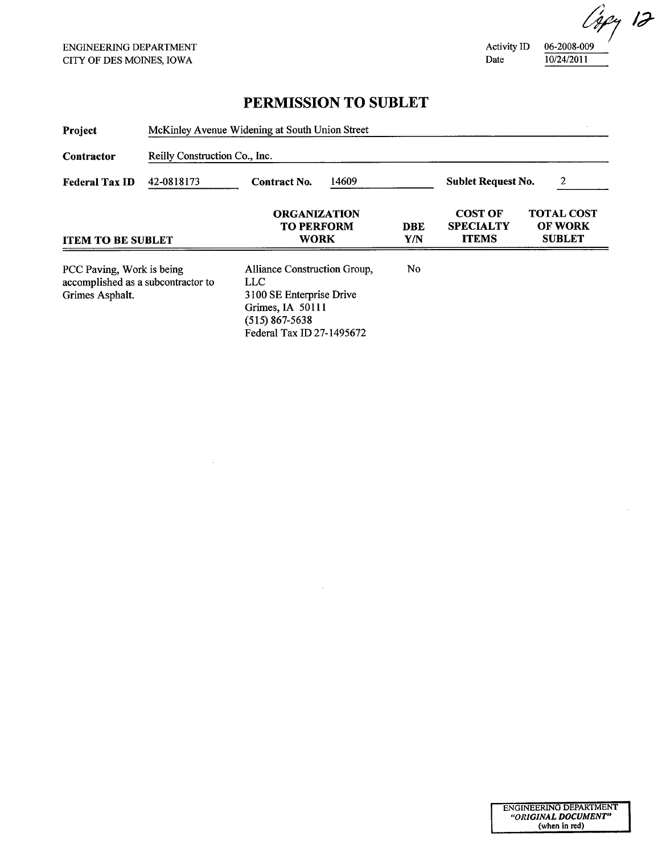$\sim$ 

Activity ID Date

06-2008-009 10/24/2011

## PERMISSION TO SUBLET

| Project                                                                            | McKinley Avenue Widening at South Union Street |                                                                                                                                       |  |                                |                                                    |                                                      |  |  |
|------------------------------------------------------------------------------------|------------------------------------------------|---------------------------------------------------------------------------------------------------------------------------------------|--|--------------------------------|----------------------------------------------------|------------------------------------------------------|--|--|
| Contractor<br><b>Federal Tax ID</b>                                                | Reilly Construction Co., Inc.                  |                                                                                                                                       |  |                                |                                                    |                                                      |  |  |
|                                                                                    | 42-0818173                                     | 14609<br><b>Contract No.</b>                                                                                                          |  | 2<br><b>Sublet Request No.</b> |                                                    |                                                      |  |  |
| <b>ITEM TO BE SUBLET</b>                                                           |                                                | <b>ORGANIZATION</b><br><b>TO PERFORM</b><br><b>WORK</b>                                                                               |  | DBE<br>Y/N                     | <b>COST OF</b><br><b>SPECIALTY</b><br><b>ITEMS</b> | <b>TOTAL COST</b><br><b>OF WORK</b><br><b>SUBLET</b> |  |  |
| PCC Paving, Work is being<br>accomplished as a subcontractor to<br>Grimes Asphalt. |                                                | Alliance Construction Group,<br>LLC-<br>3100 SE Enterprise Drive<br>Grimes, IA 50111<br>$(515)$ 867-5638<br>Federal Tax ID 27-1495672 |  | No                             |                                                    |                                                      |  |  |

 $\bar{z}$ 

Capy 12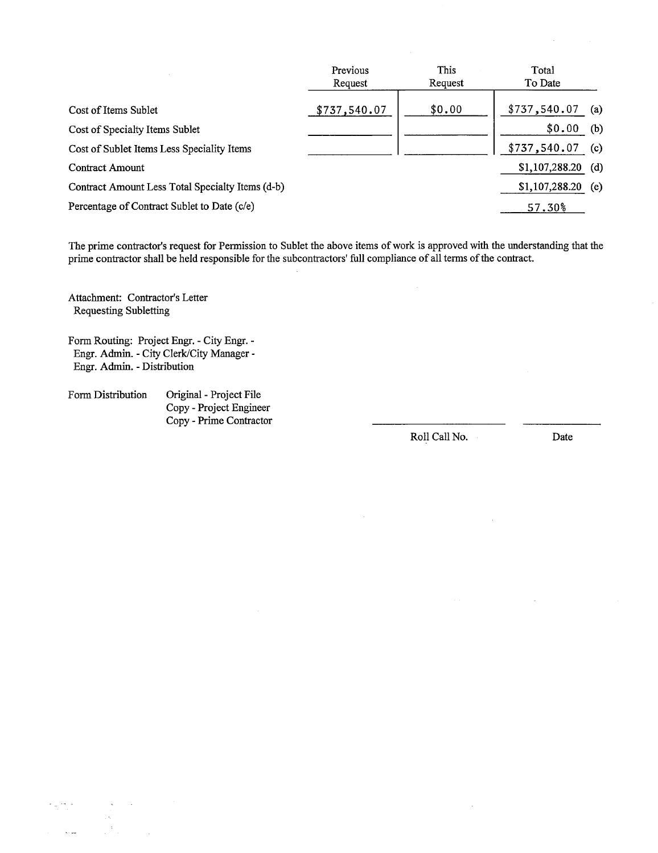|                                                  | Previous<br>Request | This<br>Request | Total<br>To Date |     |
|--------------------------------------------------|---------------------|-----------------|------------------|-----|
| Cost of Items Sublet                             | \$737,540.07        | \$0.00          | \$737,540.07     | (a) |
| Cost of Specialty Items Sublet                   |                     |                 | \$0.00           | (b) |
| Cost of Sublet Items Less Speciality Items       |                     |                 | \$737,540.07     | (c) |
| <b>Contract Amount</b>                           |                     |                 | \$1,107,288.20   | (d) |
| Contract Amount Less Total Specialty Items (d-b) |                     |                 | \$1,107,288.20   | (e) |
| Percentage of Contract Sublet to Date (c/e)      |                     |                 | 57.30%           |     |

The prime contractor's request for Permission to Sublet the above items of work is approved with the understading that the prime contractor shall be held responsible for the subcontractors' full compliance of all terms of the contract.

Attachment: Contractor's Letter Requesting Subletting

Form Routing: Project Engr. - City Engr. - Engr. Admin. - City Clerk/City Manager - Engr. Admin. - Distribution

Form Distribution Original - Project File Copy - Project Engineer Copy - Prime Contractor

Roll Call No. Date

 $\hat{a} = \hat{a}$  $\frac{1}{\sqrt{2}}$  $\epsilon_{\rm c}$  and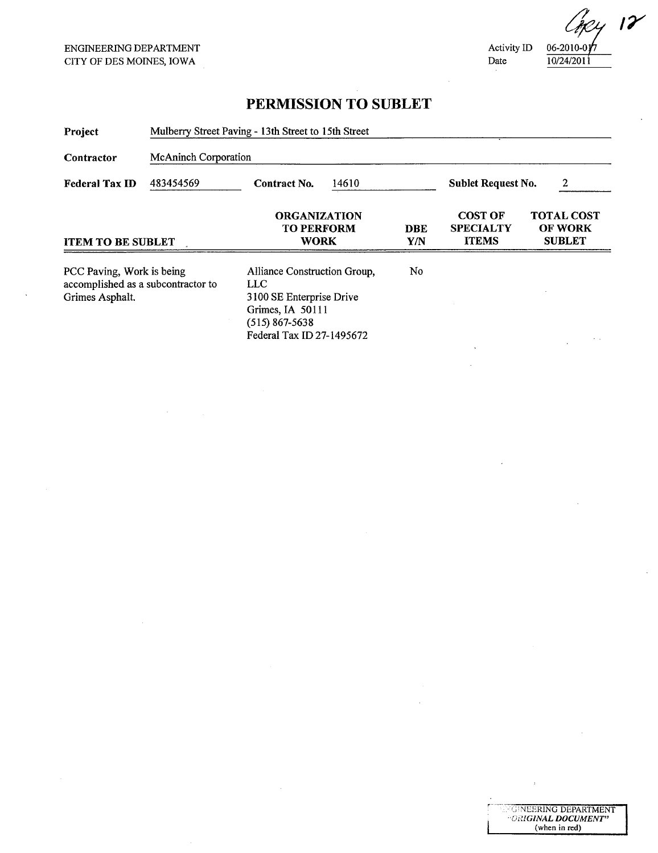Activity ID Date

 $06-2010-017$ 10/24/2011

**"GINEERING DEPARTMENT"**<br>"ORI**GINAL DOCUMENT"** (when in red)

 $2412$ 

# PERMISSION TO SUBLET

| Project                                                                            |                             | Mulberry Street Paving - 13th Street to 15th Street                                                                                  |  |                           |                                                    |                                                      |  |  |
|------------------------------------------------------------------------------------|-----------------------------|--------------------------------------------------------------------------------------------------------------------------------------|--|---------------------------|----------------------------------------------------|------------------------------------------------------|--|--|
| Contractor                                                                         | <b>McAninch Corporation</b> |                                                                                                                                      |  |                           |                                                    |                                                      |  |  |
| <b>Federal Tax ID</b>                                                              | 483454569                   | 14610<br><b>Contract No.</b>                                                                                                         |  | <b>Sublet Request No.</b> | 2                                                  |                                                      |  |  |
| <b>ITEM TO BE SUBLET</b>                                                           |                             | <b>ORGANIZATION</b><br><b>TO PERFORM</b><br><b>WORK</b>                                                                              |  | <b>DBE</b><br>Y/N         | <b>COST OF</b><br><b>SPECIALTY</b><br><b>ITEMS</b> | <b>TOTAL COST</b><br><b>OF WORK</b><br><b>SUBLET</b> |  |  |
| PCC Paving, Work is being<br>accomplished as a subcontractor to<br>Grimes Asphalt. |                             | Alliance Construction Group,<br>LLC<br>3100 SE Enterprise Drive<br>Grimes, IA 50111<br>$(515)$ 867-5638<br>Federal Tax ID 27-1495672 |  | No                        |                                                    | $\ddotsc$                                            |  |  |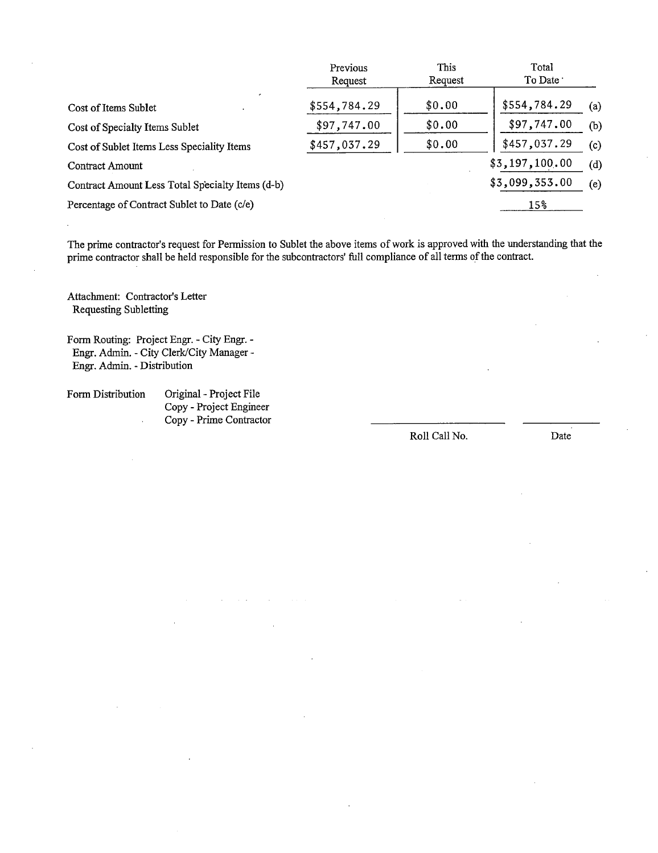|                                                  | Previous<br>Request | <b>This</b><br>Request | Total<br>To Date ' |     |
|--------------------------------------------------|---------------------|------------------------|--------------------|-----|
| Cost of Items Sublet                             | \$554,784.29        | \$0.00                 | \$554,784.29       | (a) |
| Cost of Specialty Items Sublet                   | \$97,747.00         | \$0.00                 | \$97,747.00        | (b) |
| Cost of Sublet Items Less Speciality Items       | \$457,037.29        | \$0.00                 | \$457,037.29       | (c) |
| Contract Amount                                  |                     |                        | \$3,197,100.00     | (d) |
| Contract Amount Less Total Specialty Items (d-b) |                     |                        | \$3,099,353.00     | (e) |
| Percentage of Contract Sublet to Date (c/e)      |                     |                        | $15\%$             |     |

The prime contractor's request for Permission to Sublet the above items of work is approved with the understanding that the prime contractor shall be held responsible for the subcontractors' full compliance of all terms of the contract.

Attachment: Contractor's Letter Requesting Subletting

Form Routing: Project Engr. - City Engr.- Engr. Admin. - City Clerk/City Manager - Engr. Admin. - Distribution

Form Distribution Original- Project File Copy - Project Engineer Copy - Prime Contractor  $\ddot{\phantom{a}}$ 

Roll Call No. Date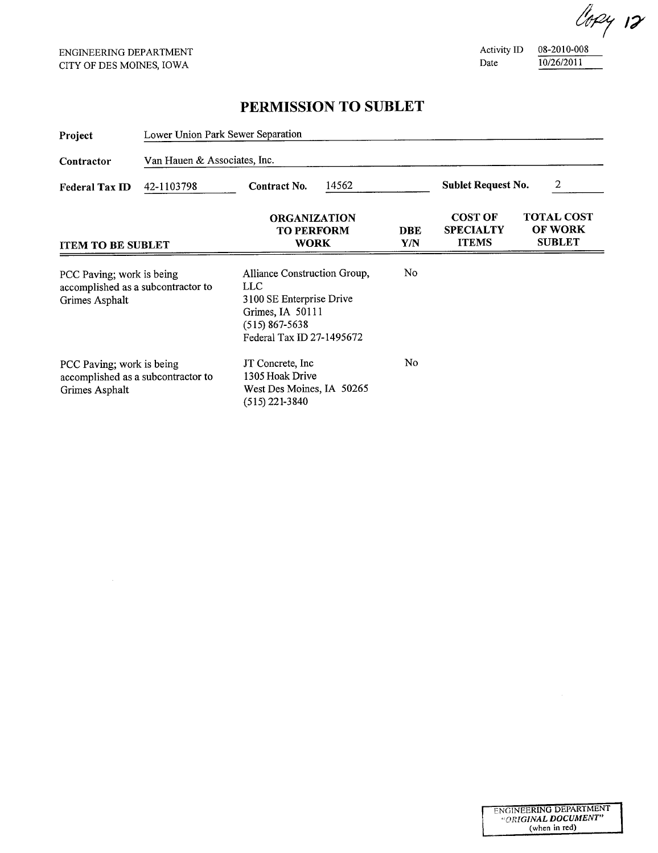Activity ID Date

08-2010-008 10/26/2011

## PERMISSION TO SUBLET

| Project                                                                           | Lower Union Park Sewer Separation |                                                                                                                                                         |       |            |                                                    |                                               |
|-----------------------------------------------------------------------------------|-----------------------------------|---------------------------------------------------------------------------------------------------------------------------------------------------------|-------|------------|----------------------------------------------------|-----------------------------------------------|
| Van Hauen & Associates, Inc.<br>Contractor                                        |                                   |                                                                                                                                                         |       |            |                                                    |                                               |
| 42-1103798<br><b>Federal Tax ID</b><br><b>ITEM TO BE SUBLET</b>                   |                                   | Contract No.                                                                                                                                            | 14562 |            | <b>Sublet Request No.</b>                          | 2                                             |
|                                                                                   |                                   | <b>ORGANIZATION</b><br><b>TO PERFORM</b><br><b>WORK</b>                                                                                                 |       | DBE<br>Y/N | <b>COST OF</b><br><b>SPECIALTY</b><br><b>ITEMS</b> | <b>TOTAL COST</b><br>OF WORK<br><b>SUBLET</b> |
| PCC Paving; work is being<br>accomplished as a subcontractor to<br>Grimes Asphalt |                                   | N <sub>0</sub><br>Alliance Construction Group,<br>LLC.<br>3100 SE Enterprise Drive<br>Grimes, IA 50111<br>$(515)$ 867-5638<br>Federal Tax ID 27-1495672 |       |            |                                                    |                                               |
| PCC Paving; work is being<br>accomplished as a subcontractor to<br>Grimes Asphalt |                                   | No<br>JT Concrete, Inc.<br>1305 Hoak Drive<br>West Des Moines, IA 50265<br>$(515)$ 221-3840                                                             |       |            |                                                    |                                               |

lopy 12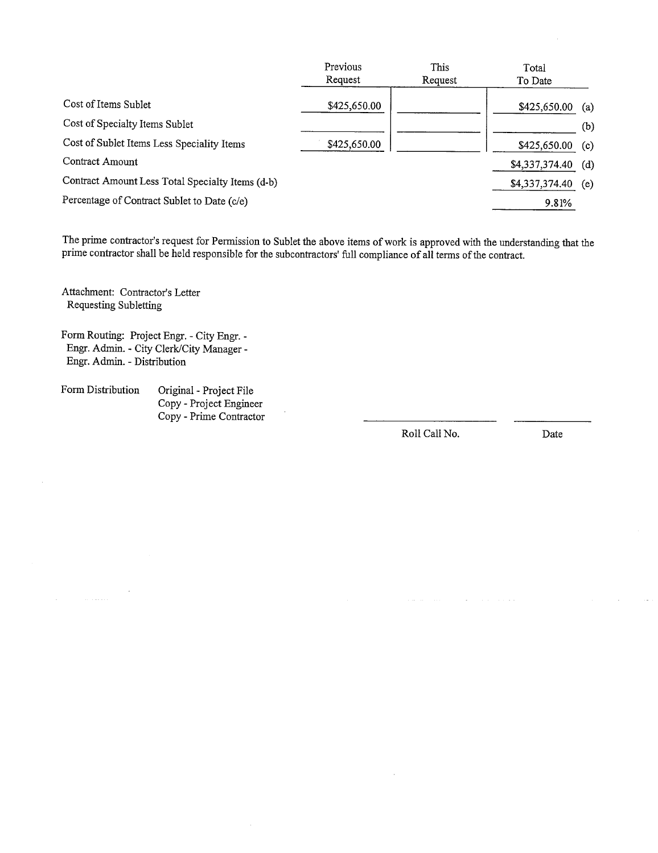|                                                  | Previous     | This    | Total          |     |
|--------------------------------------------------|--------------|---------|----------------|-----|
|                                                  | Request      | Request | To Date        |     |
| Cost of Items Sublet                             | \$425,650.00 |         | \$425,650.00   | (a) |
| Cost of Specialty Items Sublet                   |              |         |                | (b) |
| Cost of Sublet Items Less Speciality Items       | \$425,650.00 |         | \$425,650.00   | (c) |
| Contract Amount                                  |              |         | \$4,337,374.40 | (d) |
| Contract Amount Less Total Specialty Items (d-b) |              |         | \$4,337,374.40 | (e) |
| Percentage of Contract Sublet to Date (c/e)      |              |         | 9.81%          |     |
|                                                  |              |         |                |     |

The prime contractor's request for Permssion to Sublet the above items of work is approved with the understanding that the prime contractor shall be held responsible for the subcontractors' full compliance of all terms of the contract.

Attachment: Contractor's Letter Requesting Subletting

Form Routing: Project Engr. - City Engr. - Engr. Admin. - City Clerk/City Manager -Engr. Admin. - Distribution

Form Distribution Original - Project File Copy - Project Engineer Copy - Prime Contractor

Roll Call No. Date

 $\sim$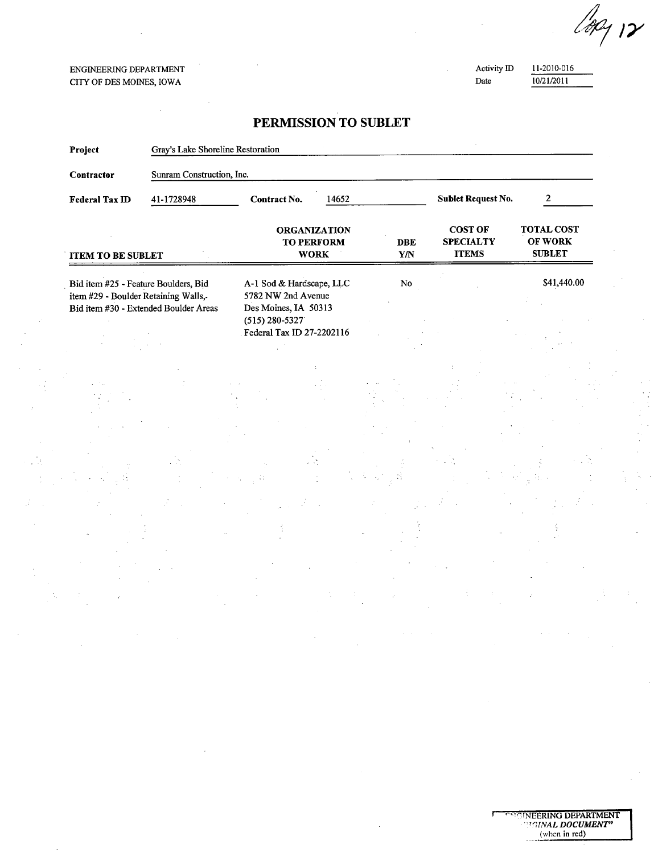129 12

#### ENGINEERING DEPARTMENT CITY OF DES MOINS, IOWA

Activity ID Date

11-2010-016 10/21/2011

### PERMISSION TO SUBLET

| Project                                                                      | Gray's Lake Shoreline Restoration     |                                                                                                                           |                                                         |                                       |                                                    |                                               |
|------------------------------------------------------------------------------|---------------------------------------|---------------------------------------------------------------------------------------------------------------------------|---------------------------------------------------------|---------------------------------------|----------------------------------------------------|-----------------------------------------------|
| Contractor                                                                   | Sunram Construction, Inc.             |                                                                                                                           |                                                         |                                       |                                                    |                                               |
| <b>Federal Tax ID</b>                                                        | 41-1728948                            | Contract No.                                                                                                              | 14652                                                   |                                       | <b>Sublet Request No.</b>                          | $\mathbf{2}$                                  |
| <b>ITEM TO BE SUBLET</b>                                                     |                                       |                                                                                                                           | <b>ORGANIZATION</b><br><b>TO PERFORM</b><br><b>WORK</b> | <b>DBE</b><br>$\mathbf{Y}/\mathbf{N}$ | <b>COST OF</b><br><b>SPECIALTY</b><br><b>ITEMS</b> | <b>TOTAL COST</b><br>OF WORK<br><b>SUBLET</b> |
| Bid item #25 - Feature Boulders, Bid<br>item #29 - Boulder Retaining Walls,- | Bid item #30 - Extended Boulder Areas | A-1 Sod & Hardscape, LLC<br>5782 NW 2nd Avenue<br>Des Moines, IA 50313<br>$(515) 280 - 5327$<br>Federal Tax ID 27-2202116 |                                                         | ${\bf No}$                            |                                                    | \$41,440.00                                   |
|                                                                              |                                       |                                                                                                                           |                                                         |                                       |                                                    |                                               |
|                                                                              |                                       |                                                                                                                           |                                                         |                                       |                                                    |                                               |
|                                                                              |                                       |                                                                                                                           |                                                         |                                       |                                                    |                                               |
|                                                                              |                                       |                                                                                                                           |                                                         |                                       |                                                    |                                               |